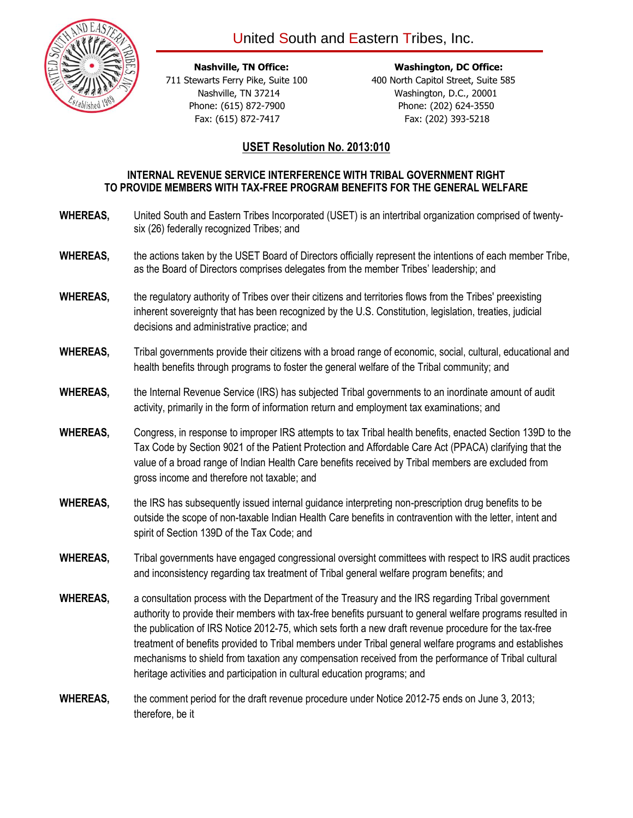



**Nashville, TN Office:** Washington, DC Office:

 711 Stewarts Ferry Pike, Suite 100 400 North Capitol Street, Suite 585 Nashville, TN 37214 Washington, D.C., 20001 Phone: (615) 872-7900 Phone: (202) 624-3550 Fax: (615) 872-7417 Fax: (202) 393-5218

## **USET Resolution No. 2013:010**

## **INTERNAL REVENUE SERVICE INTERFERENCE WITH TRIBAL GOVERNMENT RIGHT TO PROVIDE MEMBERS WITH TAX-FREE PROGRAM BENEFITS FOR THE GENERAL WELFARE**

- **WHEREAS,** United South and Eastern Tribes Incorporated (USET) is an intertribal organization comprised of twentysix (26) federally recognized Tribes; and
- **WHEREAS,** the actions taken by the USET Board of Directors officially represent the intentions of each member Tribe, as the Board of Directors comprises delegates from the member Tribes' leadership; and
- **WHEREAS,** the regulatory authority of Tribes over their citizens and territories flows from the Tribes' preexisting inherent sovereignty that has been recognized by the U.S. Constitution, legislation, treaties, judicial decisions and administrative practice; and
- **WHEREAS,** Tribal governments provide their citizens with a broad range of economic, social, cultural, educational and health benefits through programs to foster the general welfare of the Tribal community; and
- **WHEREAS,** the Internal Revenue Service (IRS) has subjected Tribal governments to an inordinate amount of audit activity, primarily in the form of information return and employment tax examinations; and
- **WHEREAS,** Congress, in response to improper IRS attempts to tax Tribal health benefits, enacted Section 139D to the Tax Code by Section 9021 of the Patient Protection and Affordable Care Act (PPACA) clarifying that the value of a broad range of Indian Health Care benefits received by Tribal members are excluded from gross income and therefore not taxable; and
- **WHEREAS,** the IRS has subsequently issued internal guidance interpreting non-prescription drug benefits to be outside the scope of non-taxable Indian Health Care benefits in contravention with the letter, intent and spirit of Section 139D of the Tax Code; and
- **WHEREAS,** Tribal governments have engaged congressional oversight committees with respect to IRS audit practices and inconsistency regarding tax treatment of Tribal general welfare program benefits; and
- **WHEREAS,** a consultation process with the Department of the Treasury and the IRS regarding Tribal government authority to provide their members with tax-free benefits pursuant to general welfare programs resulted in the publication of IRS Notice 2012-75, which sets forth a new draft revenue procedure for the tax-free treatment of benefits provided to Tribal members under Tribal general welfare programs and establishes mechanisms to shield from taxation any compensation received from the performance of Tribal cultural heritage activities and participation in cultural education programs; and
- **WHEREAS,** the comment period for the draft revenue procedure under Notice 2012-75 ends on June 3, 2013; therefore, be it